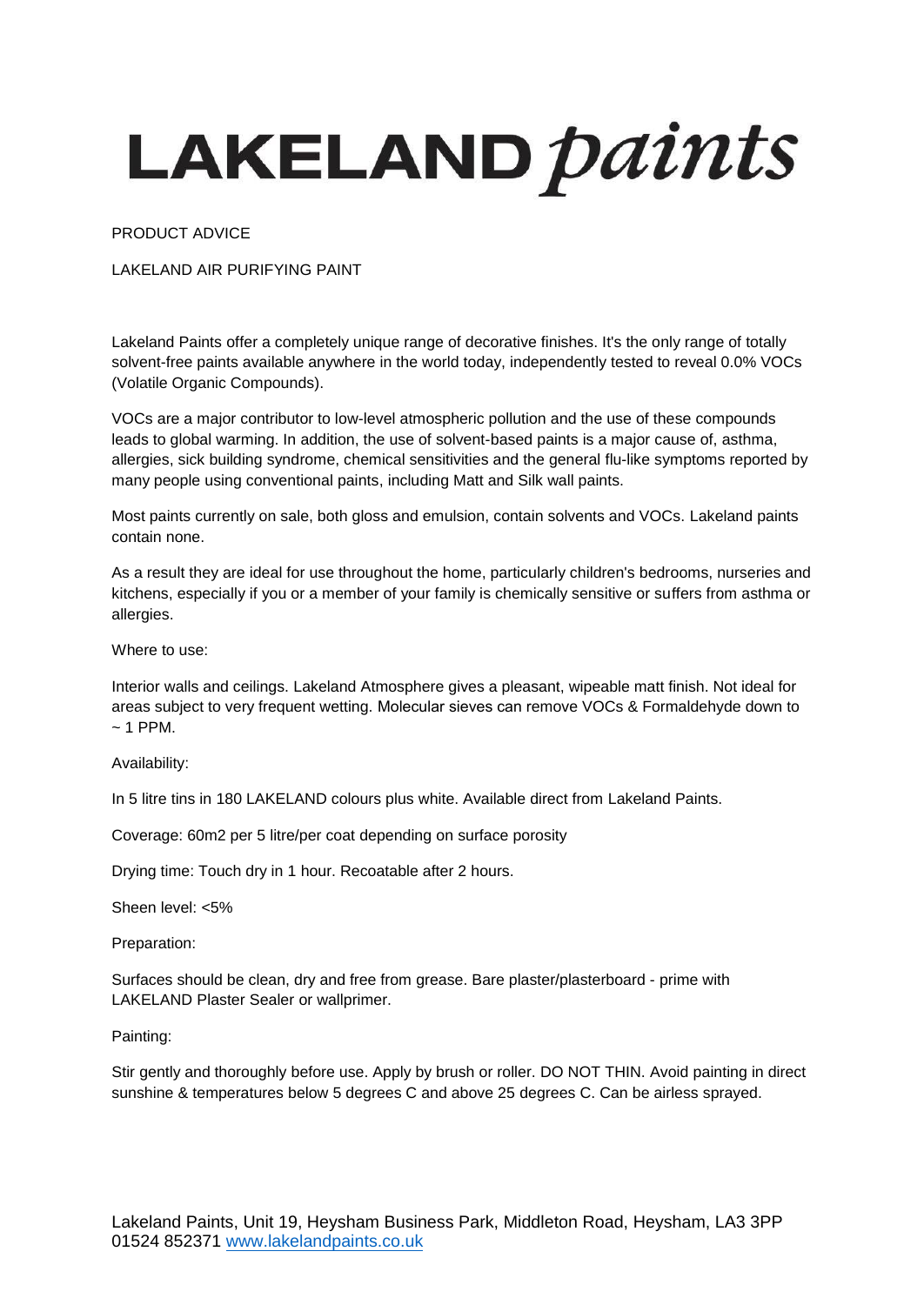## LAKELAND *paints*

PRODUCT ADVICE

LAKELAND AIR PURIFYING PAINT

Lakeland Paints offer a completely unique range of decorative finishes. It's the only range of totally solvent-free paints available anywhere in the world today, independently tested to reveal 0.0% VOCs (Volatile Organic Compounds).

VOCs are a major contributor to low-level atmospheric pollution and the use of these compounds leads to global warming. In addition, the use of solvent-based paints is a major cause of, asthma, allergies, sick building syndrome, chemical sensitivities and the general flu-like symptoms reported by many people using conventional paints, including Matt and Silk wall paints.

Most paints currently on sale, both gloss and emulsion, contain solvents and VOCs. Lakeland paints contain none.

As a result they are ideal for use throughout the home, particularly children's bedrooms, nurseries and kitchens, especially if you or a member of your family is chemically sensitive or suffers from asthma or allergies.

Where to use:

Interior walls and ceilings. Lakeland Atmosphere gives a pleasant, wipeable matt finish. Not ideal for areas subject to very frequent wetting. Molecular sieves can remove VOCs & Formaldehyde down to  $~\sim$  1 PPM.

Availability:

In 5 litre tins in 180 LAKELAND colours plus white. Available direct from Lakeland Paints.

Coverage: 60m2 per 5 litre/per coat depending on surface porosity

Drying time: Touch dry in 1 hour. Recoatable after 2 hours.

Sheen level: <5%

Preparation:

Surfaces should be clean, dry and free from grease. Bare plaster/plasterboard - prime with LAKELAND Plaster Sealer or wallprimer.

Painting:

Stir gently and thoroughly before use. Apply by brush or roller. DO NOT THIN. Avoid painting in direct sunshine & temperatures below 5 degrees C and above 25 degrees C. Can be airless sprayed.